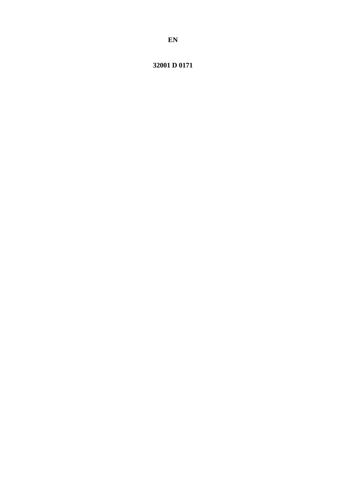# 32001 D 0171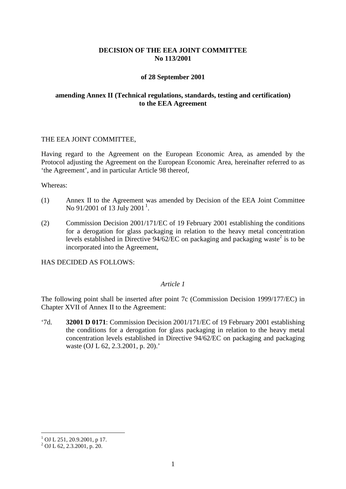# **DECISION OF THE EEA JOINT COMMITTEE No 113/2001**

### **of 28 September 2001**

# **amending Annex II (Technical regulations, standards, testing and certification) to the EEA Agreement**

### THE EEA JOINT COMMITTEE,

Having regard to the Agreement on the European Economic Area, as amended by the Protocol adjusting the Agreement on the European Economic Area, hereinafter referred to as 'the Agreement', and in particular Article 98 thereof,

#### Whereas:

- (1) Annex II to the Agreement was amended by Decision of the EEA Joint Committee No 9[1](#page-1-0)/2001 of 13 July 2001<sup>1</sup>.
- (2) Commission Decision 2001/171/EC of 19 February 2001 establishing the conditions for a derogation for glass packaging in relation to the heavy metal concentration levels established in Directive  $94/62/\text{EC}$  on packaging and packaging waste<sup>2</sup> is to be incorporated into the Agreement,

HAS DECIDED AS FOLLOWS:

### *Article 1*

The following point shall be inserted after point 7c (Commission Decision 1999/177/EC) in Chapter XVII of Annex II to the Agreement:

'7d. **32001 D 0171**: Commission Decision 2001/171/EC of 19 February 2001 establishing the conditions for a derogation for glass packaging in relation to the heavy metal concentration levels established in Directive 94/62/EC on packaging and packaging waste (OJ L 62, 2.3.2001, p. 20).'

 $1$  OJ L 251, 20.9.2001, p 17.

<span id="page-1-0"></span> $^{2}$  OJ L 62, 2.3.2001, p. 20.